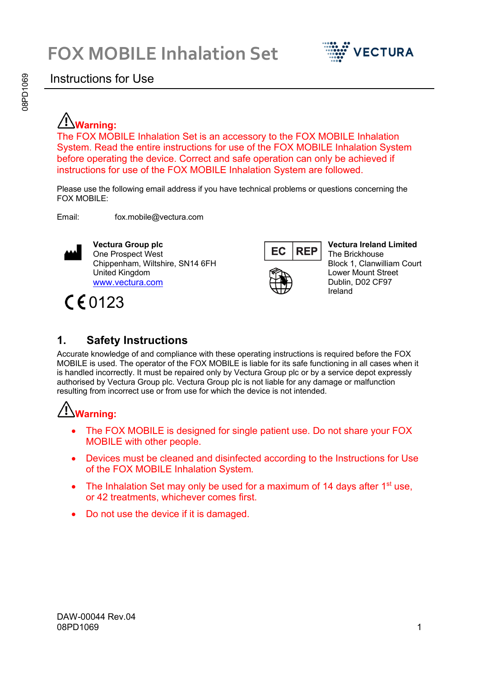

#### Instructions for Use

# **Warning:**

The FOX MOBILE Inhalation Set is an accessory to the FOX MOBILE Inhalation System. Read the entire instructions for use of the FOX MOBILE Inhalation System before operating the device. Correct and safe operation can only be achieved if instructions for use of the FOX MOBILE Inhalation System are followed.

Please use the following email address if you have technical problems or questions concerning the FOX MOBILE:

Email: fox.mobile@vectura.com



**Vectura Group plc** One Prospect West Chippenham, Wiltshire, SN14 6FH United Kingdom [www.vectura.com](http://www.vectura.com/)

CE0123



**Vectura Ireland Limited** The Brickhouse Block 1, Clanwilliam Court Lower Mount Street Dublin, D02 CF97 Ireland

#### **1. Safety Instructions**

Accurate knowledge of and compliance with these operating instructions is required before the FOX MOBILE is used. The operator of the FOX MOBILE is liable for its safe functioning in all cases when it is handled incorrectly. It must be repaired only by Vectura Group plc or by a service depot expressly authorised by Vectura Group plc. Vectura Group plc is not liable for any damage or malfunction resulting from incorrect use or from use for which the device is not intended.

# **Warning:**

- The FOX MOBILE is designed for single patient use. Do not share your FOX MOBILE with other people.
- Devices must be cleaned and disinfected according to the Instructions for Use of the FOX MOBILE Inhalation System.
- The Inhalation Set may only be used for a maximum of 14 days after  $1<sup>st</sup>$  use, or 42 treatments, whichever comes first.
- Do not use the device if it is damaged.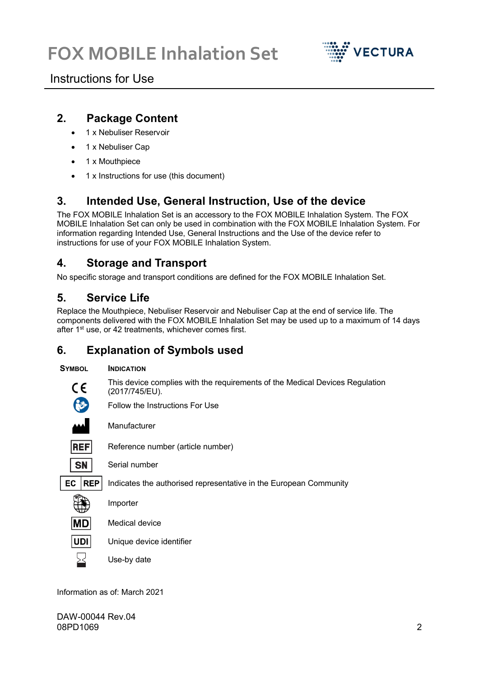

### Instructions for Use

#### **2. Package Content**

- 1 x Nebuliser Reservoir
- 1 x Nebuliser Cap
- 1 x Mouthpiece
- 1 x Instructions for use (this document)

### **3. Intended Use, General Instruction, Use of the device**

The FOX MOBILE Inhalation Set is an accessory to the FOX MOBILE Inhalation System. The FOX MOBILE Inhalation Set can only be used in combination with the FOX MOBILE Inhalation System. For information regarding Intended Use, General Instructions and the Use of the device refer to instructions for use of your FOX MOBILE Inhalation System.

#### **4. Storage and Transport**

No specific storage and transport conditions are defined for the FOX MOBILE Inhalation Set.

#### **5. Service Life**

Replace the Mouthpiece, Nebuliser Reservoir and Nebuliser Cap at the end of service life. The components delivered with the FOX MOBILE Inhalation Set may be used up to a maximum of 14 days after 1<sup>st</sup> use, or 42 treatments, whichever comes first.

#### **6. Explanation of Symbols used**

#### **SYMBOL INDICATION**

This device complies with the requirements of the Medical Devices Regulation (2017/745/EU).

Follow the Instructions For Use

C F

**REF** 

Reference number (article number)



 $EC$  REP

Indicates the authorised representative in the European Community

Importer

Manufacturer

Serial number

- **IMD** Medical device
- **UDI** Unique device identifier
	- Use-by date

Information as of: March 2021

DAW-00044 Rev.04 08PD1069 2